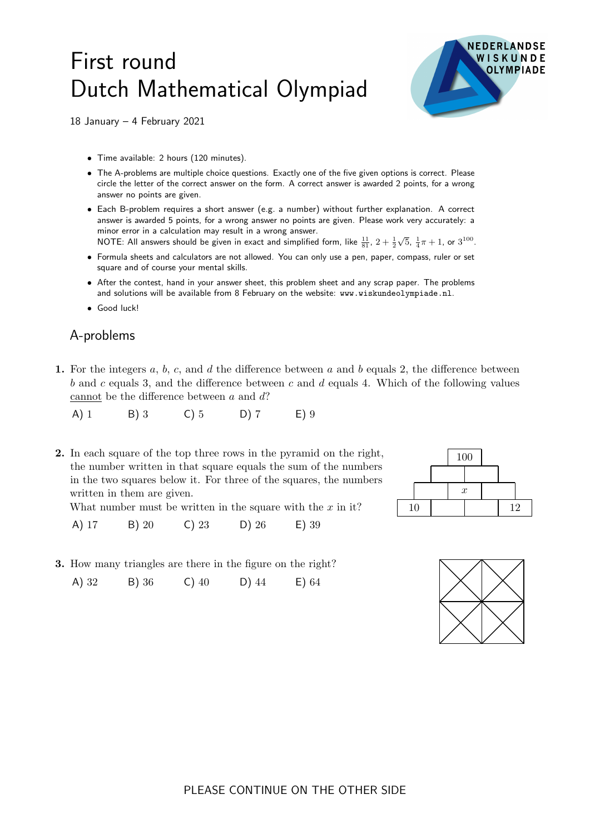## First round Dutch Mathematical Olympiad



18 January – 4 February 2021

- Time available: 2 hours (120 minutes).
- The A-problems are multiple choice questions. Exactly one of the five given options is correct. Please circle the letter of the correct answer on the form. A correct answer is awarded 2 points, for a wrong answer no points are given.
- Each B-problem requires a short answer (e.g. a number) without further explanation. A correct answer is awarded 5 points, for a wrong answer no points are given. Please work very accurately: a minor error in a calculation may result in a wrong answer.
- NOTE: All answers should be given in exact and simplified form, like  $\frac{11}{81}$ ,  $2+\frac{1}{2}$  $\sqrt{5}$ ,  $\frac{1}{4}\pi + 1$ , or  $3^{100}$ .
- Formula sheets and calculators are not allowed. You can only use a pen, paper, compass, ruler or set square and of course your mental skills.
- After the contest, hand in your answer sheet, this problem sheet and any scrap paper. The problems and solutions will be available from 8 February on the website: www.wiskundeolympiade.nl.
- Good luck!

## A-problems

1. For the integers  $a, b, c$ , and  $d$  the difference between  $a$  and  $b$  equals 2, the difference between b and c equals 3, and the difference between c and d equals 4. Which of the following values cannot be the difference between a and d?

A) 1 B) 3 C) 5 D) 7 E) 9

**2.** In each square of the top three rows in the pyramid on the right,  $\boxed{100}$ the number written in that square equals the sum of the numbers in the two squares below it. For three of the squares, the numbers written in them are given.

What number must be written in the square with the  $x$  in it?

A) 17 B) 20 C) 23 D) 26 E) 39

3. How many triangles are there in the figure on the right?

A) 32 B) 36 C) 40 D) 44 E) 64



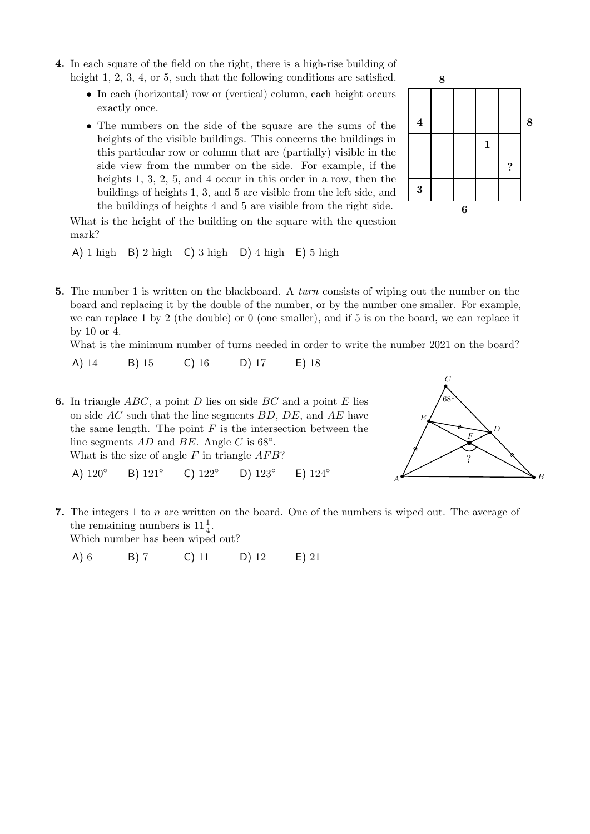- 4. In each square of the field on the right, there is a high-rise building of height 1, 2, 3, 4, or 5, such that the following conditions are satisfied.
	- In each (horizontal) row or (vertical) column, each height occurs exactly once.
	- The numbers on the side of the square are the sums of the heights of the visible buildings. This concerns the buildings in this particular row or column that are (partially) visible in the side view from the number on the side. For example, if the heights 1, 3, 2, 5, and 4 occur in this order in a row, then the buildings of heights 1, 3, and 5 are visible from the left side, and the buildings of heights 4 and 5 are visible from the right side.



What is the height of the building on the square with the question mark?

A) 1 high B) 2 high C) 3 high D) 4 high E) 5 high

5. The number 1 is written on the blackboard. A *turn* consists of wiping out the number on the board and replacing it by the double of the number, or by the number one smaller. For example, we can replace 1 by 2 (the double) or 0 (one smaller), and if 5 is on the board, we can replace it by 10 or 4.

What is the minimum number of turns needed in order to write the number 2021 on the board?

A) 14 B) 15 C) 16 D) 17 E) 18

**6.** In triangle ABC, a point D lies on side BC and a point E lies  $\left/68^{\circ}\right/68^{\circ}$ on side  $AC$  such that the line segments  $BD, DE$ , and  $AE$  have the same length. The point  $F$  is the intersection between the line segments  $AD$  and  $BE$ . Angle C is 68 $^{\circ}$ . What is the size of angle  $F$  in triangle  $AFB$ ? A) 120◦ B) 121◦ C) 122◦ D) 123◦ E) 124◦



7. The integers 1 to n are written on the board. One of the numbers is wiped out. The average of the remaining numbers is  $11\frac{1}{4}$ . Which number has been wiped out?

A) 6 B) 7 C) 11 D) 12 E) 21